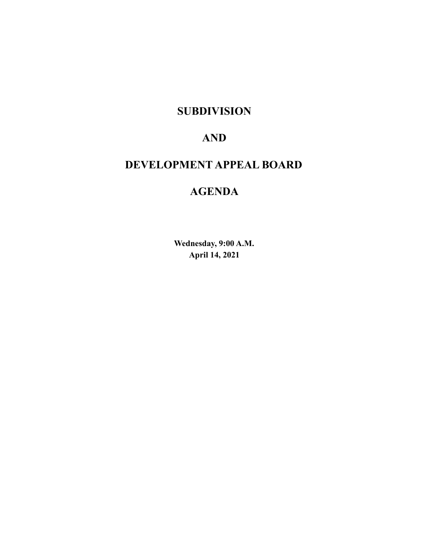# **SUBDIVISION**

# **AND**

# **DEVELOPMENT APPEAL BOARD**

# **AGENDA**

**Wednesday, 9:00 A.M. April 14, 2021**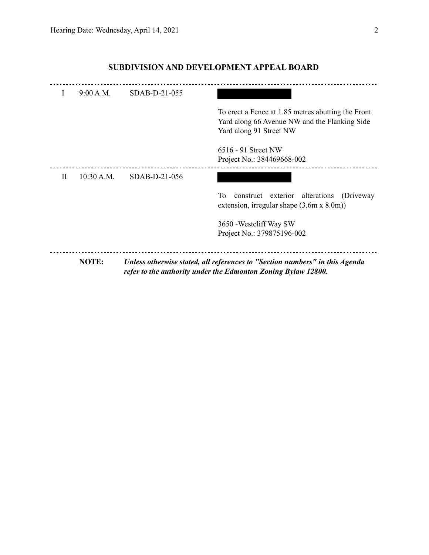| Yard along 91 Street NW<br>$6516 - 91$ Street NW<br>Project No.: 384469668-002<br>10:30 A.M.<br>SDAB-D-21-056<br>$\mathbf{H}$<br>To<br>construct exterior alterations<br>3650 - Westcliff Way SW<br>Project No.: 379875196-002 | NOTE: | Unless otherwise stated, all references to "Section numbers" in this Agenda<br>refer to the authority under the Edmonton Zoning Bylaw 12800. |
|--------------------------------------------------------------------------------------------------------------------------------------------------------------------------------------------------------------------------------|-------|----------------------------------------------------------------------------------------------------------------------------------------------|
|                                                                                                                                                                                                                                |       |                                                                                                                                              |
|                                                                                                                                                                                                                                |       | (Driveway)<br>extension, irregular shape $(3.6m \times 8.0m)$                                                                                |
|                                                                                                                                                                                                                                |       |                                                                                                                                              |
|                                                                                                                                                                                                                                |       | To erect a Fence at 1.85 metres abutting the Front<br>Yard along 66 Avenue NW and the Flanking Side                                          |
| 9:00 A.M.<br>SDAB-D-21-055<br>I                                                                                                                                                                                                |       |                                                                                                                                              |

## **SUBDIVISION AND DEVELOPMENT APPEAL BOARD**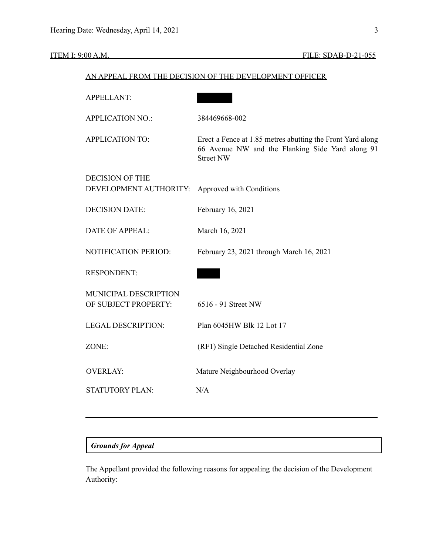| <u>AN AITEACH NOM THE DEN</u> | TOTOTA OT<br>THE DEVELOI MENT                                                                                                      |
|-------------------------------|------------------------------------------------------------------------------------------------------------------------------------|
| <b>APPELLANT:</b>             |                                                                                                                                    |
| <b>APPLICATION NO.:</b>       | 384469668-002                                                                                                                      |
| <b>APPLICATION TO:</b>        | Erect a Fence at 1.85 metres abutting the Front Yard along<br>66 Avenue NW and the Flanking Side Yard along 91<br><b>Street NW</b> |
| <b>DECISION OF THE</b>        |                                                                                                                                    |
| DEVELOPMENT AUTHORITY:        | Approved with Conditions                                                                                                           |
| <b>DECISION DATE:</b>         | February 16, 2021                                                                                                                  |
| <b>DATE OF APPEAL:</b>        | March 16, 2021                                                                                                                     |
| NOTIFICATION PERIOD:          | February 23, 2021 through March 16, 2021                                                                                           |
| <b>RESPONDENT:</b>            |                                                                                                                                    |
| MUNICIPAL DESCRIPTION         |                                                                                                                                    |
| OF SUBJECT PROPERTY:          | 6516 - 91 Street NW                                                                                                                |
| <b>LEGAL DESCRIPTION:</b>     | Plan 6045HW Blk 12 Lot 17                                                                                                          |
| ZONE:                         | (RF1) Single Detached Residential Zone                                                                                             |
| <b>OVERLAY:</b>               | Mature Neighbourhood Overlay                                                                                                       |
| <b>STATUTORY PLAN:</b>        | N/A                                                                                                                                |
|                               |                                                                                                                                    |

## AN APPEAL FROM THE DECISION OF THE DEVELOPMENT OFFICER

## *Grounds for Appeal*

The Appellant provided the following reasons for appealing the decision of the Development Authority: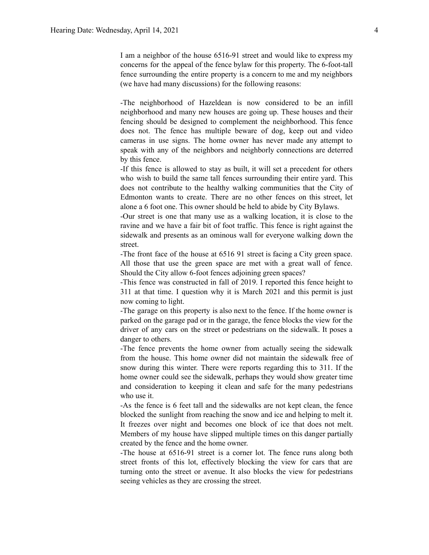I am a neighbor of the house 6516-91 street and would like to express my concerns for the appeal of the fence bylaw for this property. The 6-foot-tall fence surrounding the entire property is a concern to me and my neighbors (we have had many discussions) for the following reasons:

-The neighborhood of Hazeldean is now considered to be an infill neighborhood and many new houses are going up. These houses and their fencing should be designed to complement the neighborhood. This fence does not. The fence has multiple beware of dog, keep out and video cameras in use signs. The home owner has never made any attempt to speak with any of the neighbors and neighborly connections are deterred by this fence.

-If this fence is allowed to stay as built, it will set a precedent for others who wish to build the same tall fences surrounding their entire yard. This does not contribute to the healthy walking communities that the City of Edmonton wants to create. There are no other fences on this street, let alone a 6 foot one. This owner should be held to abide by City Bylaws.

-Our street is one that many use as a walking location, it is close to the ravine and we have a fair bit of foot traffic. This fence is right against the sidewalk and presents as an ominous wall for everyone walking down the street.

-The front face of the house at 6516 91 street is facing a City green space. All those that use the green space are met with a great wall of fence. Should the City allow 6-foot fences adjoining green spaces?

-This fence was constructed in fall of 2019. I reported this fence height to 311 at that time. I question why it is March 2021 and this permit is just now coming to light.

-The garage on this property is also next to the fence. If the home owner is parked on the garage pad or in the garage, the fence blocks the view for the driver of any cars on the street or pedestrians on the sidewalk. It poses a danger to others.

-The fence prevents the home owner from actually seeing the sidewalk from the house. This home owner did not maintain the sidewalk free of snow during this winter. There were reports regarding this to 311. If the home owner could see the sidewalk, perhaps they would show greater time and consideration to keeping it clean and safe for the many pedestrians who use it.

-As the fence is 6 feet tall and the sidewalks are not kept clean, the fence blocked the sunlight from reaching the snow and ice and helping to melt it. It freezes over night and becomes one block of ice that does not melt. Members of my house have slipped multiple times on this danger partially created by the fence and the home owner.

-The house at 6516-91 street is a corner lot. The fence runs along both street fronts of this lot, effectively blocking the view for cars that are turning onto the street or avenue. It also blocks the view for pedestrians seeing vehicles as they are crossing the street.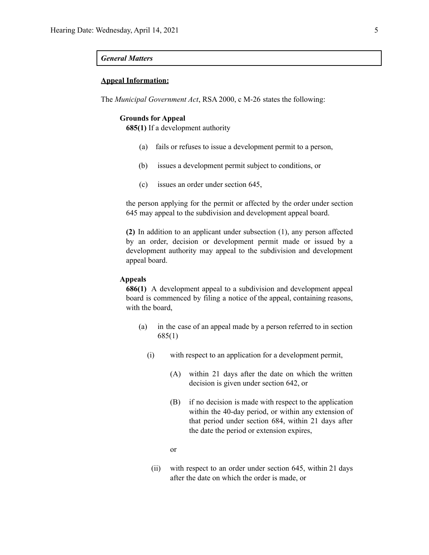## *General Matters*

## **Appeal Information:**

The *Municipal Government Act*, RSA 2000, c M-26 states the following:

#### **Grounds for Appeal**

**685(1)** If a development authority

- (a) fails or refuses to issue a development permit to a person,
- (b) issues a development permit subject to conditions, or
- (c) issues an order under section 645,

the person applying for the permit or affected by the order under section 645 may appeal to the subdivision and development appeal board.

**(2)** In addition to an applicant under subsection (1), any person affected by an order, decision or development permit made or issued by a development authority may appeal to the subdivision and development appeal board.

## **Appeals**

**686(1)** A development appeal to a subdivision and development appeal board is commenced by filing a notice of the appeal, containing reasons, with the board,

- (a) in the case of an appeal made by a person referred to in section 685(1)
	- (i) with respect to an application for a development permit,
		- (A) within 21 days after the date on which the written decision is given under section 642, or
		- (B) if no decision is made with respect to the application within the 40-day period, or within any extension of that period under section 684, within 21 days after the date the period or extension expires,
		- or
		- (ii) with respect to an order under section 645, within 21 days after the date on which the order is made, or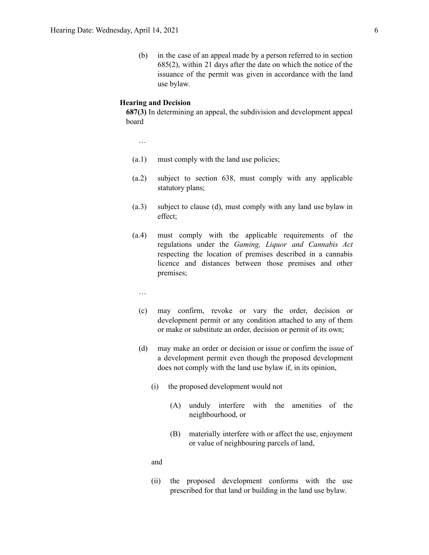(b) in the case of an appeal made by a person referred to in section 685(2), within 21 days after the date on which the notice of the issuance of the permit was given in accordance with the land use bylaw.

## **Hearing and Decision**

**687(3)** In determining an appeal, the subdivision and development appeal board

…

- (a.1) must comply with the land use policies;
- (a.2) subject to section 638, must comply with any applicable statutory plans;
- (a.3) subject to clause (d), must comply with any land use bylaw in effect;
- (a.4) must comply with the applicable requirements of the regulations under the *Gaming, Liquor and Cannabis Act* respecting the location of premises described in a cannabis licence and distances between those premises and other premises;
	- …
	- (c) may confirm, revoke or vary the order, decision or development permit or any condition attached to any of them or make or substitute an order, decision or permit of its own;
	- (d) may make an order or decision or issue or confirm the issue of a development permit even though the proposed development does not comply with the land use bylaw if, in its opinion,
		- (i) the proposed development would not
			- (A) unduly interfere with the amenities of the neighbourhood, or
			- (B) materially interfere with or affect the use, enjoyment or value of neighbouring parcels of land,

and

(ii) the proposed development conforms with the use prescribed for that land or building in the land use bylaw.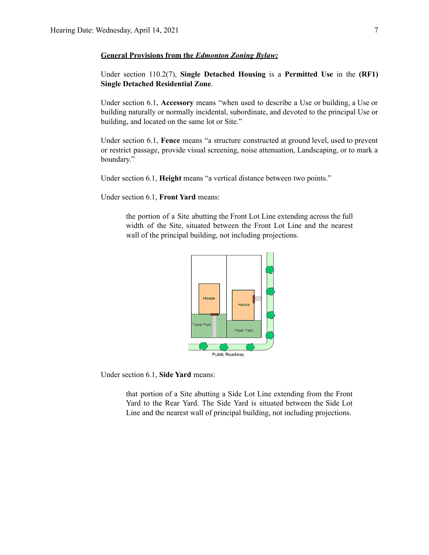## **General Provisions from the** *Edmonton Zoning Bylaw:*

Under section 110.2(7), **Single Detached Housing** is a **Permitted Use** in the **(RF1) Single Detached Residential Zone**.

Under section 6.1, **Accessory** means "when used to describe a Use or building, a Use or building naturally or normally incidental, subordinate, and devoted to the principal Use or building, and located on the same lot or Site."

Under section 6.1, **Fence** means "a structure constructed at ground level, used to prevent or restrict passage, provide visual screening, noise attenuation, Landscaping, or to mark a boundary."

Under section 6.1, **Height** means "a vertical distance between two points."

Under section 6.1, **Front Yard** means:

the portion of a Site abutting the Front Lot Line extending across the full width of the Site, situated between the Front Lot Line and the nearest wall of the principal building, not including projections.



Under section 6.1, **Side Yard** means:

that portion of a Site abutting a Side Lot Line extending from the Front Yard to the Rear Yard. The Side Yard is situated between the Side Lot Line and the nearest wall of principal building, not including projections.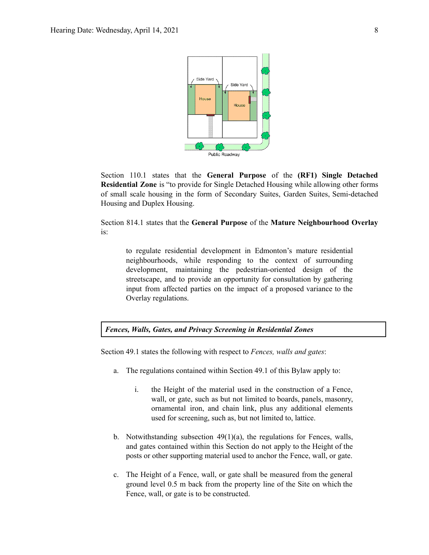

Section 110.1 states that the **General Purpose** of the **(RF1) Single Detached Residential Zone** is "to provide for Single Detached Housing while allowing other forms of small scale housing in the form of Secondary Suites, Garden Suites, Semi-detached Housing and Duplex Housing.

Section 814.1 states that the **General Purpose** of the **Mature Neighbourhood Overlay** is:

to regulate residential development in Edmonton's mature residential neighbourhoods, while responding to the context of surrounding development, maintaining the pedestrian-oriented design of the streetscape, and to provide an opportunity for consultation by gathering input from affected parties on the impact of a proposed variance to the Overlay regulations.

*Fences, Walls, Gates, and Privacy Screening in Residential Zones*

Section 49.1 states the following with respect to *Fences, walls and gates*:

- a. The regulations contained within Section 49.1 of this Bylaw apply to:
	- i. the Height of the material used in the construction of a Fence, wall, or gate, such as but not limited to boards, panels, masonry, ornamental iron, and chain link, plus any additional elements used for screening, such as, but not limited to, lattice.
- b. Notwithstanding subsection 49(1)(a), the regulations for Fences, walls, and gates contained within this Section do not apply to the Height of the posts or other supporting material used to anchor the Fence, wall, or gate.
- c. The Height of a Fence, wall, or gate shall be measured from the general ground level 0.5 m back from the property line of the Site on which the Fence, wall, or gate is to be constructed.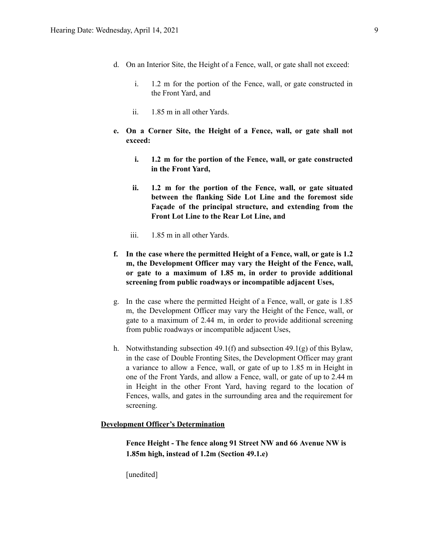- d. On an Interior Site, the Height of a Fence, wall, or gate shall not exceed:
	- i. 1.2 m for the portion of the Fence, wall, or gate constructed in the Front Yard, and
	- ii. 1.85 m in all other Yards.
- **e. On a Corner Site, the Height of a Fence, wall, or gate shall not exceed:**
	- **i. 1.2 m for the portion of the Fence, wall, or gate constructed in the Front Yard,**
	- **ii. 1.2 m for the portion of the Fence, wall, or gate situated between the flanking Side Lot Line and the foremost side Façade of the principal structure, and extending from the Front Lot Line to the Rear Lot Line, and**
	- iii. 1.85 m in all other Yards.
- **f. In the case where the permitted Height of a Fence, wall, or gate is 1.2 m, the Development Officer may vary the Height of the Fence, wall, or gate to a maximum of 1.85 m, in order to provide additional screening from public roadways or incompatible adjacent Uses,**
- g. In the case where the permitted Height of a Fence, wall, or gate is 1.85 m, the Development Officer may vary the Height of the Fence, wall, or gate to a maximum of 2.44 m, in order to provide additional screening from public roadways or incompatible adjacent Uses,
- h. Notwithstanding subsection 49.1(f) and subsection 49.1(g) of this Bylaw, in the case of Double Fronting Sites, the Development Officer may grant a variance to allow a Fence, wall, or gate of up to 1.85 m in Height in one of the Front Yards, and allow a Fence, wall, or gate of up to 2.44 m in Height in the other Front Yard, having regard to the location of Fences, walls, and gates in the surrounding area and the requirement for screening.

## **Development Officer's Determination**

**Fence Height - The fence along 91 Street NW and 66 Avenue NW is 1.85m high, instead of 1.2m (Section 49.1.e)**

[unedited]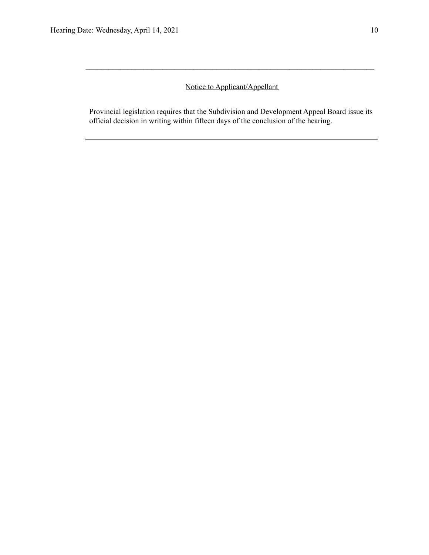## Notice to Applicant/Appellant

 $\mathcal{L}_\text{max} = \frac{1}{2} \sum_{i=1}^n \mathcal{L}_\text{max} = \frac{1}{2} \sum_{i=1}^n \mathcal{L}_\text{max} = \frac{1}{2} \sum_{i=1}^n \mathcal{L}_\text{max} = \frac{1}{2} \sum_{i=1}^n \mathcal{L}_\text{max} = \frac{1}{2} \sum_{i=1}^n \mathcal{L}_\text{max} = \frac{1}{2} \sum_{i=1}^n \mathcal{L}_\text{max} = \frac{1}{2} \sum_{i=1}^n \mathcal{L}_\text{max} = \frac{1}{2} \sum_{i=$ 

Provincial legislation requires that the Subdivision and Development Appeal Board issue its official decision in writing within fifteen days of the conclusion of the hearing.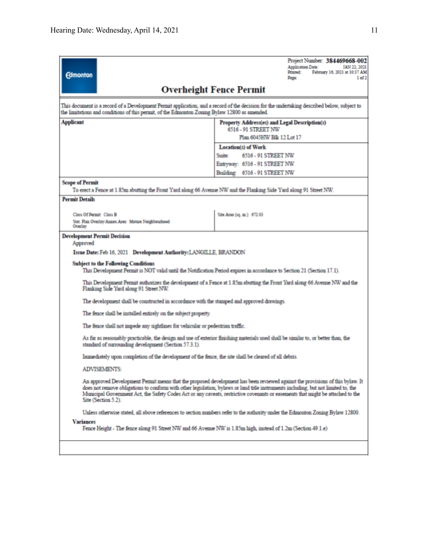| <b>Edmonton</b>                                                                                                                                                                                                                              | Project Number: 384469668-002<br><b>Application Date:</b><br>JAN 22, 2021<br>Printed:<br>February 16, 2021 at 10:37 AM<br>1 of 2<br>Page:                                                                                                                                                                                                                                                              |  |  |  |  |  |
|----------------------------------------------------------------------------------------------------------------------------------------------------------------------------------------------------------------------------------------------|--------------------------------------------------------------------------------------------------------------------------------------------------------------------------------------------------------------------------------------------------------------------------------------------------------------------------------------------------------------------------------------------------------|--|--|--|--|--|
|                                                                                                                                                                                                                                              | <b>Overheight Fence Permit</b>                                                                                                                                                                                                                                                                                                                                                                         |  |  |  |  |  |
| This document is a record of a Development Permit application, and a record of the decision for the undertaking described below, subject to<br>the limitations and conditions of this permit, of the Edmonton Zoning Bylaw 12800 as amended. |                                                                                                                                                                                                                                                                                                                                                                                                        |  |  |  |  |  |
| <b>Applicant</b>                                                                                                                                                                                                                             | Property Address(es) and Legal Description(s)<br>6516 - 91 STREET NW                                                                                                                                                                                                                                                                                                                                   |  |  |  |  |  |
|                                                                                                                                                                                                                                              | Plan 6045HW Blk 12 Lot 17                                                                                                                                                                                                                                                                                                                                                                              |  |  |  |  |  |
|                                                                                                                                                                                                                                              | Location(s) of Work                                                                                                                                                                                                                                                                                                                                                                                    |  |  |  |  |  |
|                                                                                                                                                                                                                                              | 6516 - 91 STREET NW<br>Statter:                                                                                                                                                                                                                                                                                                                                                                        |  |  |  |  |  |
|                                                                                                                                                                                                                                              | Entryway: 6516 - 91 STREET NW                                                                                                                                                                                                                                                                                                                                                                          |  |  |  |  |  |
|                                                                                                                                                                                                                                              | Building: 6516 - 91 STREET NW                                                                                                                                                                                                                                                                                                                                                                          |  |  |  |  |  |
| <b>Scope of Permit</b><br>To erect a Fence at 1.85m abutting the Front Yard along 66 Avenue NW and the Flanking Side Yard along 91 Street NW.                                                                                                |                                                                                                                                                                                                                                                                                                                                                                                                        |  |  |  |  |  |
| <b>Permit Details</b>                                                                                                                                                                                                                        |                                                                                                                                                                                                                                                                                                                                                                                                        |  |  |  |  |  |
|                                                                                                                                                                                                                                              |                                                                                                                                                                                                                                                                                                                                                                                                        |  |  |  |  |  |
| Class Of Permit: Class B<br>Stat. Plan Overlay/Annex Area: Mature Neighbourhood<br>Overlay                                                                                                                                                   | Site Area (sq. m.): 672.03                                                                                                                                                                                                                                                                                                                                                                             |  |  |  |  |  |
| <b>Development Permit Decision</b>                                                                                                                                                                                                           |                                                                                                                                                                                                                                                                                                                                                                                                        |  |  |  |  |  |
| Approved                                                                                                                                                                                                                                     |                                                                                                                                                                                                                                                                                                                                                                                                        |  |  |  |  |  |
| Issue Date: Feb 16, 2021 Development Authority: LANGILLE, BRANDON                                                                                                                                                                            |                                                                                                                                                                                                                                                                                                                                                                                                        |  |  |  |  |  |
| <b>Subject to the Following Conditions</b>                                                                                                                                                                                                   | This Development Permit is NOT valid until the Notification Period expires in accordance to Section 21 (Section 17.1).                                                                                                                                                                                                                                                                                 |  |  |  |  |  |
| Flanking Side Yard along 91 Street NW.                                                                                                                                                                                                       | This Development Permit authorizes the development of a Fence at 1.85m abutting the Front Yard along 66 Avenue NW and the                                                                                                                                                                                                                                                                              |  |  |  |  |  |
| The development shall be constructed in accordance with the stamped and approved drawings.                                                                                                                                                   |                                                                                                                                                                                                                                                                                                                                                                                                        |  |  |  |  |  |
| The fence shall be installed entirely on the subject property.                                                                                                                                                                               |                                                                                                                                                                                                                                                                                                                                                                                                        |  |  |  |  |  |
| The fence shall not impede any sightlines for vehicular or pedestrian traffic.                                                                                                                                                               |                                                                                                                                                                                                                                                                                                                                                                                                        |  |  |  |  |  |
| As far as reasonably practicable, the design and use of exterior finishing materials used shall be similar to, or better than, the<br>standard of surrounding development (Section 57.3.1).                                                  |                                                                                                                                                                                                                                                                                                                                                                                                        |  |  |  |  |  |
| Immediately upon completion of the development of the fence, the site shall be cleared of all debris.                                                                                                                                        |                                                                                                                                                                                                                                                                                                                                                                                                        |  |  |  |  |  |
| <b>ADVISEMENTS:</b>                                                                                                                                                                                                                          |                                                                                                                                                                                                                                                                                                                                                                                                        |  |  |  |  |  |
| Site (Section 5.2).                                                                                                                                                                                                                          | An approved Development Permit means that the proposed development has been reviewed against the provisions of this bylaw. It<br>does not remove obligations to conform with other legislation, bylaws or land title instruments including, but not limited to, the<br>Municipal Government Act, the Safety Codes Act or any caveats, restrictive covenants or easements that might be attached to the |  |  |  |  |  |
|                                                                                                                                                                                                                                              | Unless otherwise stated, all above references to section numbers refer to the authority under the Edmonton Zoning Bylaw 12800.                                                                                                                                                                                                                                                                         |  |  |  |  |  |
| <b>Variances</b><br>Fence Height - The fence along 91 Street NW and 66 Avenue NW is 1.85m high, instead of 1.2m (Section 49.1.e)                                                                                                             |                                                                                                                                                                                                                                                                                                                                                                                                        |  |  |  |  |  |
|                                                                                                                                                                                                                                              |                                                                                                                                                                                                                                                                                                                                                                                                        |  |  |  |  |  |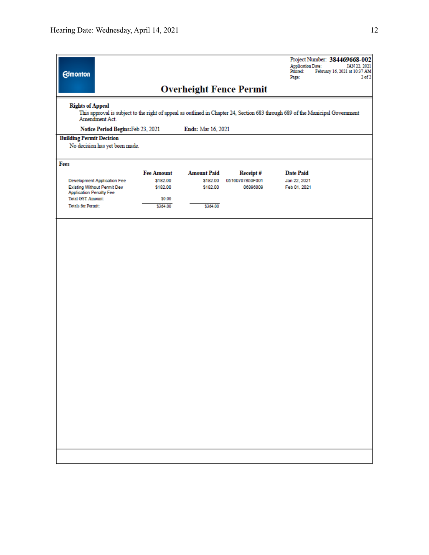| <b>Edmonton</b>                                                                                                                                                             |                   |                    |                                | <b>Application Date:</b><br>Printed:<br>Page: | Project Number: 384469668-002<br>JAN 22, 2021<br>February 16, 2021 at 10:37 AM<br>$2$ of $2$ |
|-----------------------------------------------------------------------------------------------------------------------------------------------------------------------------|-------------------|--------------------|--------------------------------|-----------------------------------------------|----------------------------------------------------------------------------------------------|
|                                                                                                                                                                             |                   |                    | <b>Overheight Fence Permit</b> |                                               |                                                                                              |
| <b>Rights of Appeal</b><br>This approval is subject to the right of appeal as outlined in Chapter 24, Section 683 through 689 of the Municipal Government<br>Amendment Act. |                   |                    |                                |                                               |                                                                                              |
| Notice Period Begins: Feb 23, 2021                                                                                                                                          |                   | Ends: Mar 16, 2021 |                                |                                               |                                                                                              |
| <b>Building Permit Decision</b><br>No decision has yet been made.                                                                                                           |                   |                    |                                |                                               |                                                                                              |
| Fees                                                                                                                                                                        |                   |                    |                                |                                               |                                                                                              |
|                                                                                                                                                                             | <b>Fee Amount</b> | <b>Amount Paid</b> | Receipt#                       | <b>Date Paid</b>                              |                                                                                              |
| <b>Development Application Fee</b>                                                                                                                                          | \$182.00          | \$182.00           | 05160707850F001                | Jan 22, 2021                                  |                                                                                              |
| <b>Existing Without Permit Dev</b><br><b>Application Penalty Fee</b>                                                                                                        | \$182.00          | \$182.00           | 06896809                       | Feb 01, 2021                                  |                                                                                              |
| <b>Total GST Amount:</b>                                                                                                                                                    | \$0.00            |                    |                                |                                               |                                                                                              |
| <b>Totals for Permit:</b>                                                                                                                                                   | \$364.00          | \$364.00           |                                |                                               |                                                                                              |
|                                                                                                                                                                             |                   |                    |                                |                                               |                                                                                              |
|                                                                                                                                                                             |                   |                    |                                |                                               |                                                                                              |
|                                                                                                                                                                             |                   |                    |                                |                                               |                                                                                              |
|                                                                                                                                                                             |                   |                    |                                |                                               |                                                                                              |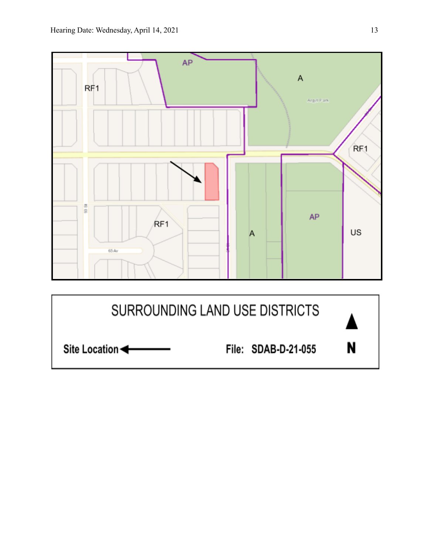

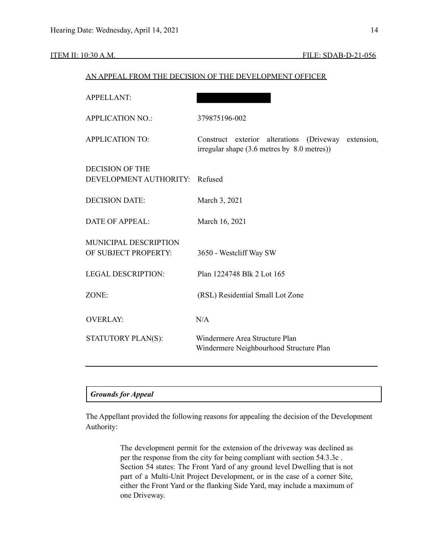| <b>APPELLANT:</b>                                |                                                                                                       |
|--------------------------------------------------|-------------------------------------------------------------------------------------------------------|
| <b>APPLICATION NO.:</b>                          | 379875196-002                                                                                         |
| <b>APPLICATION TO:</b>                           | Construct exterior alterations (Driveway<br>extension,<br>irregular shape (3.6 metres by 8.0 metres)) |
| <b>DECISION OF THE</b><br>DEVELOPMENT AUTHORITY: | Refused                                                                                               |
| <b>DECISION DATE:</b>                            | March 3, 2021                                                                                         |
| <b>DATE OF APPEAL:</b>                           | March 16, 2021                                                                                        |
| MUNICIPAL DESCRIPTION<br>OF SUBJECT PROPERTY:    | 3650 - Westcliff Way SW                                                                               |
| <b>LEGAL DESCRIPTION:</b>                        | Plan 1224748 Blk 2 Lot 165                                                                            |
| ZONE:                                            | (RSL) Residential Small Lot Zone                                                                      |
| <b>OVERLAY:</b>                                  | N/A                                                                                                   |
| STATUTORY PLAN(S):                               | Windermere Area Structure Plan<br>Windermere Neighbourhood Structure Plan                             |
|                                                  |                                                                                                       |

## AN APPEAL FROM THE DECISION OF THE DEVELOPMENT OFFICER

## *Grounds for Appeal*

The Appellant provided the following reasons for appealing the decision of the Development Authority:

> The development permit for the extension of the driveway was declined as per the response from the city for being compliant with section 54.3.3c . Section 54 states: The Front Yard of any ground level Dwelling that is not part of a Multi-Unit Project Development, or in the case of a corner Site, either the Front Yard or the flanking Side Yard, may include a maximum of one Driveway.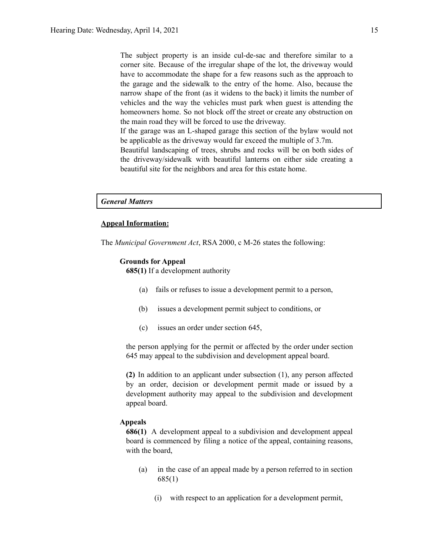The subject property is an inside cul-de-sac and therefore similar to a corner site. Because of the irregular shape of the lot, the driveway would have to accommodate the shape for a few reasons such as the approach to the garage and the sidewalk to the entry of the home. Also, because the narrow shape of the front (as it widens to the back) it limits the number of vehicles and the way the vehicles must park when guest is attending the homeowners home. So not block off the street or create any obstruction on the main road they will be forced to use the driveway.

If the garage was an L-shaped garage this section of the bylaw would not be applicable as the driveway would far exceed the multiple of 3.7m.

Beautiful landscaping of trees, shrubs and rocks will be on both sides of the driveway/sidewalk with beautiful lanterns on either side creating a beautiful site for the neighbors and area for this estate home.

## *General Matters*

## **Appeal Information:**

The *Municipal Government Act*, RSA 2000, c M-26 states the following:

## **Grounds for Appeal**

**685(1)** If a development authority

- (a) fails or refuses to issue a development permit to a person,
- (b) issues a development permit subject to conditions, or
- (c) issues an order under section 645,

the person applying for the permit or affected by the order under section 645 may appeal to the subdivision and development appeal board.

**(2)** In addition to an applicant under subsection (1), any person affected by an order, decision or development permit made or issued by a development authority may appeal to the subdivision and development appeal board.

## **Appeals**

**686(1)** A development appeal to a subdivision and development appeal board is commenced by filing a notice of the appeal, containing reasons, with the board,

- (a) in the case of an appeal made by a person referred to in section 685(1)
	- (i) with respect to an application for a development permit,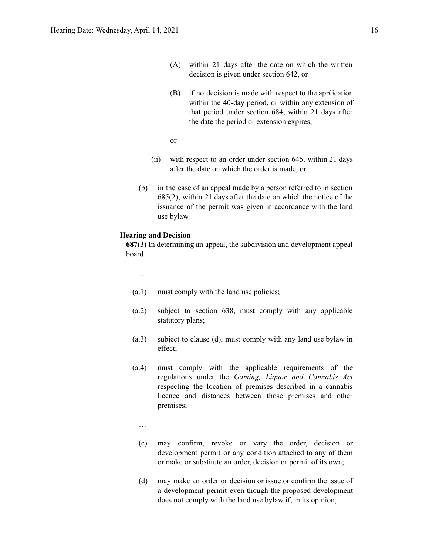- (A) within 21 days after the date on which the written decision is given under section 642, or
- (B) if no decision is made with respect to the application within the 40-day period, or within any extension of that period under section 684, within 21 days after the date the period or extension expires,
- or
- (ii) with respect to an order under section 645, within 21 days after the date on which the order is made, or
- (b) in the case of an appeal made by a person referred to in section 685(2), within 21 days after the date on which the notice of the issuance of the permit was given in accordance with the land use bylaw.

## **Hearing and Decision**

**687(3)** In determining an appeal, the subdivision and development appeal board

…

- (a.1) must comply with the land use policies;
- (a.2) subject to section 638, must comply with any applicable statutory plans;
- (a.3) subject to clause (d), must comply with any land use bylaw in effect;
- (a.4) must comply with the applicable requirements of the regulations under the *Gaming, Liquor and Cannabis Act* respecting the location of premises described in a cannabis licence and distances between those premises and other premises;
	- …
	- (c) may confirm, revoke or vary the order, decision or development permit or any condition attached to any of them or make or substitute an order, decision or permit of its own;
	- (d) may make an order or decision or issue or confirm the issue of a development permit even though the proposed development does not comply with the land use bylaw if, in its opinion,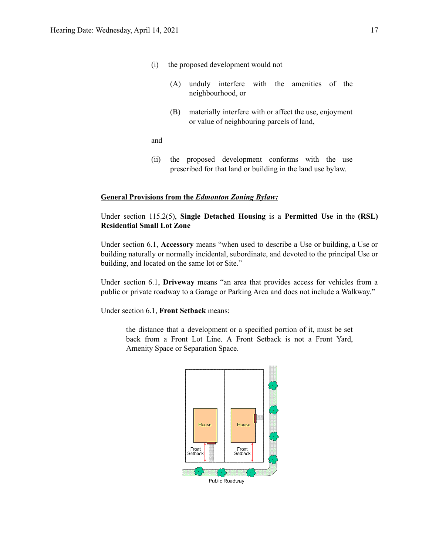- (i) the proposed development would not
	- (A) unduly interfere with the amenities of the neighbourhood, or
	- (B) materially interfere with or affect the use, enjoyment or value of neighbouring parcels of land,

and

(ii) the proposed development conforms with the use prescribed for that land or building in the land use bylaw.

## **General Provisions from the** *Edmonton Zoning Bylaw:*

## Under section 115.2(5), **Single Detached Housing** is a **Permitted Use** in the **(RSL) Residential Small Lot Zone**

Under section 6.1, **Accessory** means "when used to describe a Use or building, a Use or building naturally or normally incidental, subordinate, and devoted to the principal Use or building, and located on the same lot or Site."

Under section 6.1, **Driveway** means "an area that provides access for vehicles from a public or private roadway to a Garage or Parking Area and does not include a Walkway."

Under section 6.1, **Front Setback** means:

the distance that a development or a specified portion of it, must be set back from a Front Lot Line. A Front Setback is not a Front Yard, Amenity Space or Separation Space.

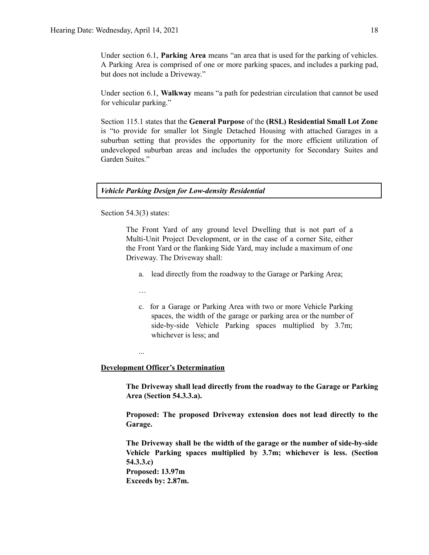Under section 6.1, **Parking Area** means "an area that is used for the parking of vehicles. A Parking Area is comprised of one or more parking spaces, and includes a parking pad, but does not include a Driveway."

Under section 6.1, **Walkway** means "a path for pedestrian circulation that cannot be used for vehicular parking."

Section 115.1 states that the **General Purpose** of the **(RSL) Residential Small Lot Zone** is "to provide for smaller lot Single Detached Housing with attached Garages in a suburban setting that provides the opportunity for the more efficient utilization of undeveloped suburban areas and includes the opportunity for Secondary Suites and Garden Suites."

### *Vehicle Parking Design for Low-density Residential*

Section 54.3(3) states:

The Front Yard of any ground level Dwelling that is not part of a Multi-Unit Project Development, or in the case of a corner Site, either the Front Yard or the flanking Side Yard, may include a maximum of one Driveway. The Driveway shall:

- a. lead directly from the roadway to the Garage or Parking Area;
- …

...

c. for a Garage or Parking Area with two or more Vehicle Parking spaces, the width of the garage or parking area or the number of side-by-side Vehicle Parking spaces multiplied by 3.7m; whichever is less; and

### **Development Officer's Determination**

**The Driveway shall lead directly from the roadway to the Garage or Parking Area (Section 54.3.3.a).**

**Proposed: The proposed Driveway extension does not lead directly to the Garage.**

**The Driveway shall be the width of the garage or the number of side-by-side Vehicle Parking spaces multiplied by 3.7m; whichever is less. (Section 54.3.3.c) Proposed: 13.97m**

**Exceeds by: 2.87m.**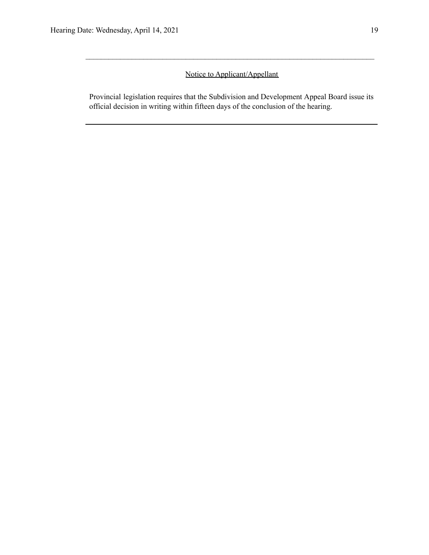## Notice to Applicant/Appellant

 $\mathcal{L}_\text{max} = \frac{1}{2} \sum_{i=1}^n \mathcal{L}_\text{max} = \frac{1}{2} \sum_{i=1}^n \mathcal{L}_\text{max} = \frac{1}{2} \sum_{i=1}^n \mathcal{L}_\text{max} = \frac{1}{2} \sum_{i=1}^n \mathcal{L}_\text{max} = \frac{1}{2} \sum_{i=1}^n \mathcal{L}_\text{max} = \frac{1}{2} \sum_{i=1}^n \mathcal{L}_\text{max} = \frac{1}{2} \sum_{i=1}^n \mathcal{L}_\text{max} = \frac{1}{2} \sum_{i=$ 

Provincial legislation requires that the Subdivision and Development Appeal Board issue its official decision in writing within fifteen days of the conclusion of the hearing.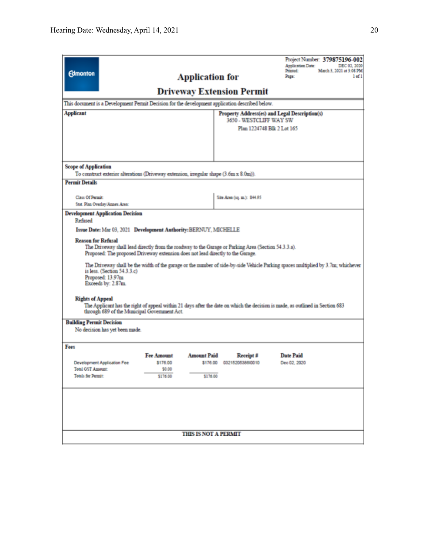| <b>Edmonton</b><br>This document is a Development Permit Decision for the development application described below.<br><b>Applicant</b>                                                                                                                                                                                                                                                                                                                                                                                                                                                                                                                                                                                                                                                                                                         |                                                     | <b>Application for</b>         | <b>Driveway Extension Permit</b><br>3650 - WESTCLIFF WAY SW | Project Number: 379875196-002<br>Application Date:<br>DEC 02, 2020<br>March 3, 2021 at 3:08 PM<br>Printed:<br>$1$ of $1$<br>Page:<br>Property Address(es) and Legal Description(s)<br>Plan 1224748 Blk 2 Lot 165 |  |  |
|------------------------------------------------------------------------------------------------------------------------------------------------------------------------------------------------------------------------------------------------------------------------------------------------------------------------------------------------------------------------------------------------------------------------------------------------------------------------------------------------------------------------------------------------------------------------------------------------------------------------------------------------------------------------------------------------------------------------------------------------------------------------------------------------------------------------------------------------|-----------------------------------------------------|--------------------------------|-------------------------------------------------------------|------------------------------------------------------------------------------------------------------------------------------------------------------------------------------------------------------------------|--|--|
| <b>Scope of Application</b><br>To construct exterior alterations (Driveway extension, irregular shape (3.6m x 8.0m)).<br><b>Permit Details</b>                                                                                                                                                                                                                                                                                                                                                                                                                                                                                                                                                                                                                                                                                                 |                                                     |                                |                                                             |                                                                                                                                                                                                                  |  |  |
| <b>Class Of Permit</b><br>Stat. Plan Overlay/Annex Area:                                                                                                                                                                                                                                                                                                                                                                                                                                                                                                                                                                                                                                                                                                                                                                                       |                                                     |                                | Site Area (1q. m.): \$44.95                                 |                                                                                                                                                                                                                  |  |  |
| <b>Development Application Decision</b><br>Refused<br>Issue Date: Mar 03, 2021 Development Authority: BERNUY, MICHELLE<br><b>Reason for Refusal</b><br>The Driveway shall lead directly from the roadway to the Garage or Parking Area (Section 54.3.3.a).<br>Proposed: The proposed Driveway extension does not lead directly to the Garage.<br>The Driveway shall be the width of the garage or the number of side-by-side Vehicle Parking spaces multiplied by 3.7m; whichever<br>is less. (Section $54.3.3.c$ )<br>Proposed: 13.97m<br>Exceeds by: 2.87m.<br><b>Rights of Appeal</b><br>The Applicant has the right of appeal within 21 days after the date on which the decision is made, as outlined in Section 683<br>through 689 of the Municipal Government Act.<br><b>Building Permit Decision</b><br>No decision has yet been made. |                                                     |                                |                                                             |                                                                                                                                                                                                                  |  |  |
| Fees<br><b>Development Application Fee</b><br><b>Total GST Amount:</b><br>Totals for Permit:                                                                                                                                                                                                                                                                                                                                                                                                                                                                                                                                                                                                                                                                                                                                                   | <b>Fee Amount</b><br>\$176.00<br>\$0.00<br>\$176.00 | <b>Amount Paid</b><br>\$176.00 | Receipt #<br>\$176.00 03215205386/0010                      | <b>Date Paid</b><br>Dec 02, 2020                                                                                                                                                                                 |  |  |
|                                                                                                                                                                                                                                                                                                                                                                                                                                                                                                                                                                                                                                                                                                                                                                                                                                                |                                                     | <b>THIS IS NOT A PERMIT</b>    |                                                             |                                                                                                                                                                                                                  |  |  |